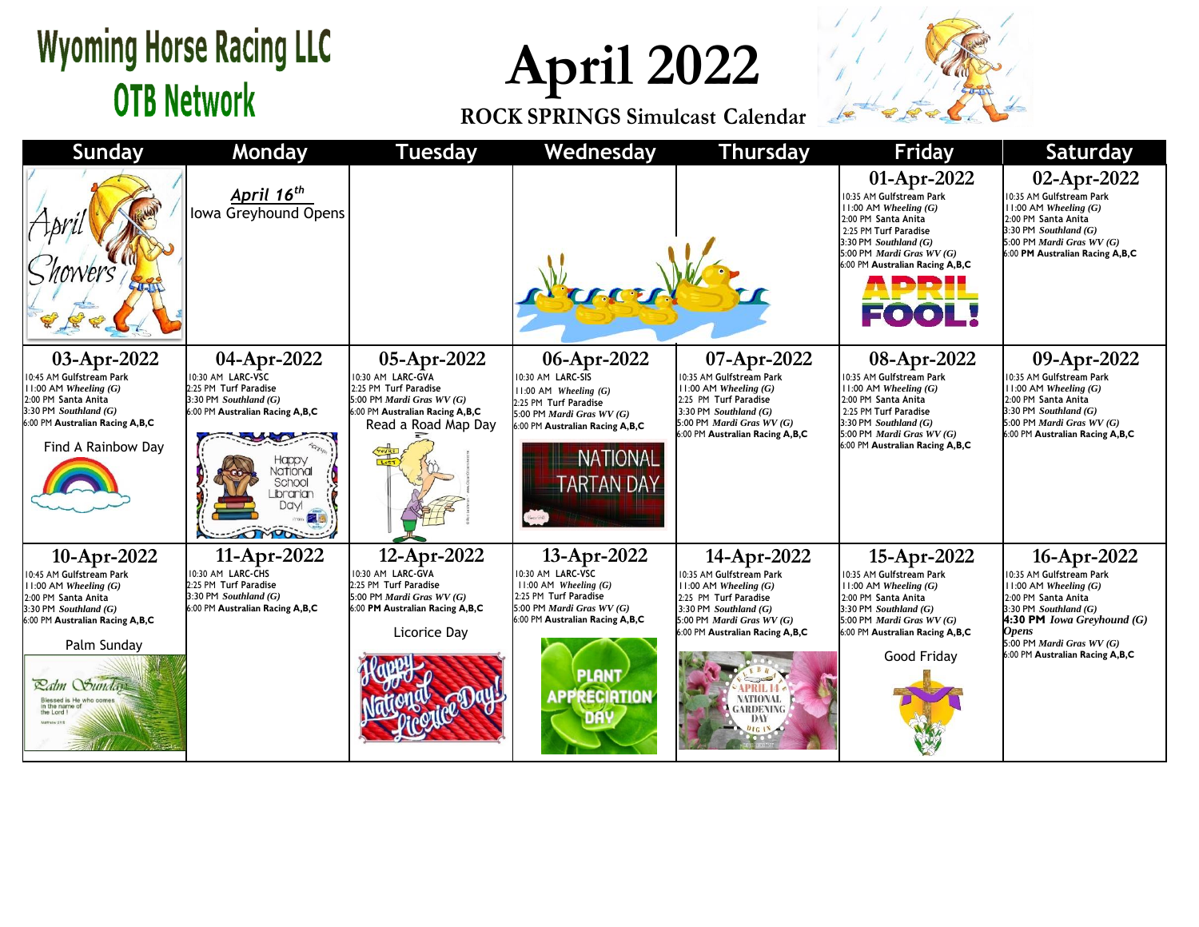## **Wyoming Horse Racing LLC OTB Network**

**April 2022**

**ROCK SPRINGS Simulcast Calendar**



| <b>Sunday</b>                                                                                                                                                                                                                      | Monday                                                                                                                                                                                         | <b>Tuesday</b>                                                                                                                                   | Wednesday                                                                                                                                                                                              | <b>Thursday</b>                                                                                                                                                                                                                          | Friday                                                                                                                                                                                                                   | <b>Saturday</b>                                                                                                                                                                                                                                      |
|------------------------------------------------------------------------------------------------------------------------------------------------------------------------------------------------------------------------------------|------------------------------------------------------------------------------------------------------------------------------------------------------------------------------------------------|--------------------------------------------------------------------------------------------------------------------------------------------------|--------------------------------------------------------------------------------------------------------------------------------------------------------------------------------------------------------|------------------------------------------------------------------------------------------------------------------------------------------------------------------------------------------------------------------------------------------|--------------------------------------------------------------------------------------------------------------------------------------------------------------------------------------------------------------------------|------------------------------------------------------------------------------------------------------------------------------------------------------------------------------------------------------------------------------------------------------|
|                                                                                                                                                                                                                                    | April 16 <sup>th</sup><br>Iowa Greyhound Opens                                                                                                                                                 |                                                                                                                                                  |                                                                                                                                                                                                        |                                                                                                                                                                                                                                          | 01-Apr-2022<br>0:35 AM Gulfstream Park<br>$11:00$ AM Wheeling $(G)$<br>2:00 PM Santa Anita<br>2:25 PM Turf Paradise<br>3:30 PM Southland $(G)$<br>5:00 PM Mardi Gras WV (G)<br>6:00 PM Australian Racing A,B,C<br>EO O I | 02-Apr-2022<br>10:35 AM Gulfstream Park<br>11:00 AM Wheeling $(G)$<br>2:00 PM Santa Anita<br>3:30 PM Southland $(G)$<br>5:00 PM Mardi Gras $WV(G)$<br>6:00 PM Australian Racing A,B,C                                                                |
| 03-Apr-2022<br>10:45 AM Gulfstream Park<br>$11:00$ AM Wheeling $(G)$<br>2:00 PM Santa Anita<br>3:30 PM Southland (G)<br>6:00 PM Australian Racing A,B,C<br>Find A Rainbow Day                                                      | 04-Apr-2022<br>10:30 AM LARC-VSC<br>2:25 PM Turf Paradise<br>3:30 PM Southland $(G)$<br>6:00 PM Australian Racing A,B,C<br>Happy<br>National<br>School<br>Librarian<br><b>Dayl</b><br>$\sigma$ | 05-Apr-2022<br>10:30 AM LARC-GVA<br>2:25 PM Turf Paradise<br>5:00 PM Mardi Gras WV (G)<br>6:00 PM Australian Racing A,B,C<br>Read a Road Map Day | 06-Apr-2022<br>10:30 AM LARC-SIS<br>$11:00$ AM Wheeling $(G)$<br>2:25 PM Turf Paradise<br>5:00 PM <i>Mardi Gras WV</i> $(G)$<br>6:00 PM Australian Racing A,B,C<br><b>NATIONAL</b><br><b>ARTAN DAY</b> | 07-Apr-2022<br>0:35 AM Gulfstream Park<br>$11:00$ AM Wheeling $(G)$<br>2:25 PM Turf Paradise<br>3:30 PM Southland $(G)$<br>5:00 PM Mardi Gras $WV(G)$<br>6:00 PM Australian Racing A,B,C                                                 | 08-Apr-2022<br>0:35 AM Gulfstream Park<br>$11:00$ AM Wheeling $(G)$<br>2:00 PM Santa Anita<br>2:25 PM Turf Paradise<br>$3:30$ PM Southland $(G)$<br>5:00 PM Mardi Gras WV (G)<br>6:00 PM Australian Racing A,B,C         | 09-Apr-2022<br>10:35 AM Gulfstream Park<br>$11:00$ AM Wheeling $(G)$<br>2:00 PM Santa Anita<br>3:30 PM Southland $(G)$<br>5:00 PM Mardi Gras $WV(G)$<br>6:00 PM Australian Racing A,B,C                                                              |
| 10-Apr-2022<br>10:45 AM Gulfstream Park<br>$11:00$ AM Wheeling $(G)$<br>2:00 PM Santa Anita<br>$3:30$ PM Southland $(G)$<br>6:00 PM Australian Racing A,B,C<br>Palm Sunday<br>Latm Sunday<br>Blessed is<br>in the name<br>the Lord | 11-Apr-2022<br>10:30 AM LARC-CHS<br>2:25 PM Turf Paradise<br>3:30 PM Southland $(G)$<br>6:00 PM Australian Racing A,B,C                                                                        | 12-Apr-2022<br>10:30 AM LARC-GVA<br>2:25 PM Turf Paradise<br>5:00 PM Mardi Gras $WV(G)$<br>6:00 PM Australian Racing A,B,C<br>Licorice Day       | 13-Apr-2022<br>10:30 AM LARC-VSC<br>$11:00$ AM Wheeling $(G)$<br>2:25 PM Turf Paradise<br>5:00 PM <i>Mardi Gras WV</i> $(G)$<br>6:00 PM Australian Racing A,B,C<br><b>PLANT</b><br><b>APPRECIATION</b> | 14-Apr-2022<br>0:35 AM Gulfstream Park<br>$11:00$ AM Wheeling $(G)$<br>2:25 PM Turf Paradise<br>3:30 PM Southland $(G)$<br>5:00 PM Mardi Gras $WV(G)$<br>6:00 PM Australian Racing A,B,C<br>NATIONAL<br><b>GARDENING</b><br>DAY<br>01618 | 15-Apr-2022<br>0:35 AM Gulfstream Park<br>$11:00$ AM Wheeling $(G)$<br>2:00 PM Santa Anita<br>3:30 PM Southland $(G)$<br>5:00 PM Mardi Gras WV (G)<br>6:00 PM Australian Racing A,B,C<br>Good Friday                     | 16-Apr-2022<br>10:35 AM Gulfstream Park<br>$11:00$ AM Wheeling $(G)$<br>2:00 PM Santa Anita<br>3:30 PM Southland $(G)$<br><b>4:30 PM</b> <i>Iowa Greyhound</i> $(G)$<br><b>Opens</b><br>5:00 PM Mardi Gras WV (G)<br>6:00 PM Australian Racing A,B,C |